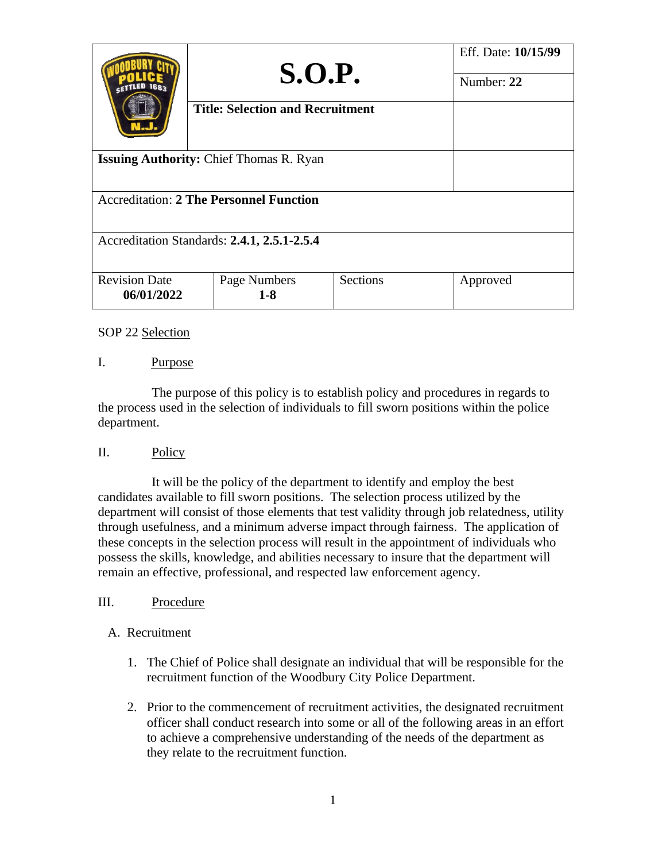|                                                | S.O.P.                                  | Eff. Date: 10/15/99<br>Number: 22 |          |  |  |  |  |
|------------------------------------------------|-----------------------------------------|-----------------------------------|----------|--|--|--|--|
|                                                | <b>Title: Selection and Recruitment</b> |                                   |          |  |  |  |  |
| <b>Issuing Authority: Chief Thomas R. Ryan</b> |                                         |                                   |          |  |  |  |  |
| <b>Accreditation: 2 The Personnel Function</b> |                                         |                                   |          |  |  |  |  |
| Accreditation Standards: 2.4.1, 2.5.1-2.5.4    |                                         |                                   |          |  |  |  |  |
| <b>Revision Date</b><br>06/01/2022             | Page Numbers<br>$1 - 8$                 | Sections                          | Approved |  |  |  |  |

### I. Purpose

 The purpose of this policy is to establish policy and procedures in regards to the process used in the selection of individuals to fill sworn positions within the police department.

## II. Policy

It will be the policy of the department to identify and employ the best candidates available to fill sworn positions. The selection process utilized by the department will consist of those elements that test validity through job relatedness, utility through usefulness, and a minimum adverse impact through fairness. The application of these concepts in the selection process will result in the appointment of individuals who possess the skills, knowledge, and abilities necessary to insure that the department will remain an effective, professional, and respected law enforcement agency.

#### III. Procedure

#### A. Recruitment

- 1. The Chief of Police shall designate an individual that will be responsible for the recruitment function of the Woodbury City Police Department.
- 2. Prior to the commencement of recruitment activities, the designated recruitment officer shall conduct research into some or all of the following areas in an effort to achieve a comprehensive understanding of the needs of the department as they relate to the recruitment function.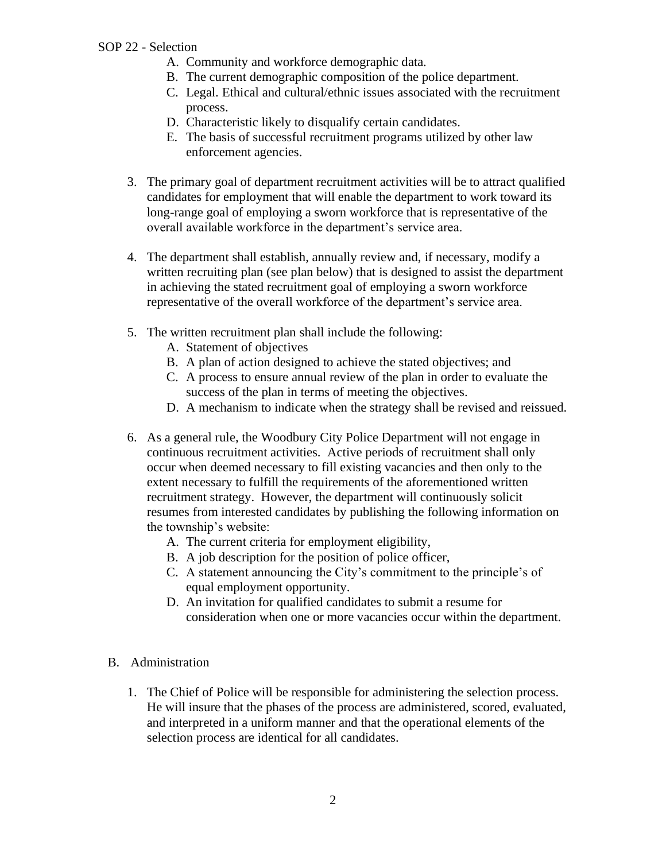- A. Community and workforce demographic data.
- B. The current demographic composition of the police department.
- C. Legal. Ethical and cultural/ethnic issues associated with the recruitment process.
- D. Characteristic likely to disqualify certain candidates.
- E. The basis of successful recruitment programs utilized by other law enforcement agencies.
- 3. The primary goal of department recruitment activities will be to attract qualified candidates for employment that will enable the department to work toward its long-range goal of employing a sworn workforce that is representative of the overall available workforce in the department's service area.
- 4. The department shall establish, annually review and, if necessary, modify a written recruiting plan (see plan below) that is designed to assist the department in achieving the stated recruitment goal of employing a sworn workforce representative of the overall workforce of the department's service area.
- 5. The written recruitment plan shall include the following:
	- A. Statement of objectives
	- B. A plan of action designed to achieve the stated objectives; and
	- C. A process to ensure annual review of the plan in order to evaluate the success of the plan in terms of meeting the objectives.
	- D. A mechanism to indicate when the strategy shall be revised and reissued.
- 6. As a general rule, the Woodbury City Police Department will not engage in continuous recruitment activities. Active periods of recruitment shall only occur when deemed necessary to fill existing vacancies and then only to the extent necessary to fulfill the requirements of the aforementioned written recruitment strategy. However, the department will continuously solicit resumes from interested candidates by publishing the following information on the township's website:
	- A. The current criteria for employment eligibility,
	- B. A job description for the position of police officer,
	- C. A statement announcing the City's commitment to the principle's of equal employment opportunity.
	- D. An invitation for qualified candidates to submit a resume for consideration when one or more vacancies occur within the department.
- B. Administration
	- 1. The Chief of Police will be responsible for administering the selection process. He will insure that the phases of the process are administered, scored, evaluated, and interpreted in a uniform manner and that the operational elements of the selection process are identical for all candidates.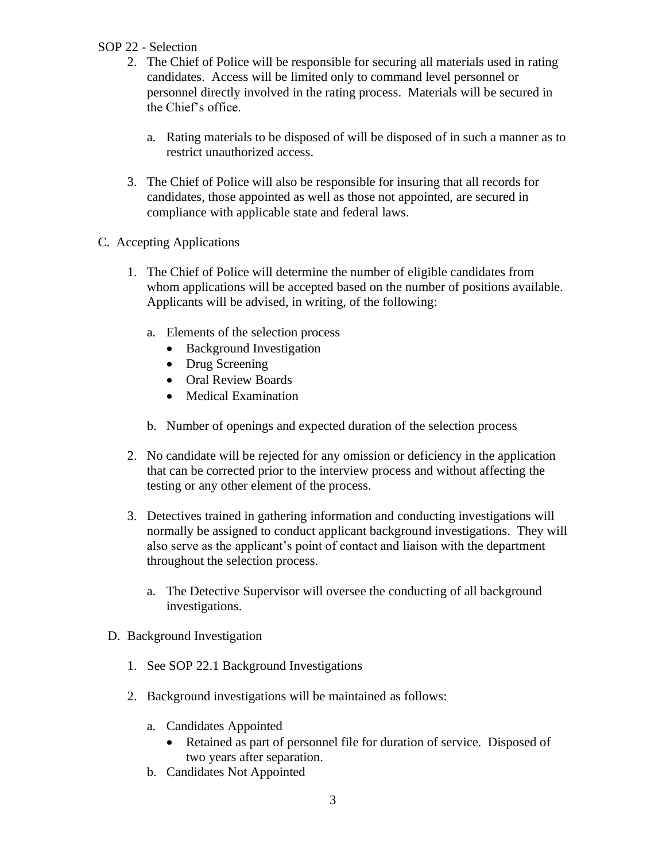- 2. The Chief of Police will be responsible for securing all materials used in rating candidates. Access will be limited only to command level personnel or personnel directly involved in the rating process. Materials will be secured in the Chief's office.
	- a. Rating materials to be disposed of will be disposed of in such a manner as to restrict unauthorized access.
- 3. The Chief of Police will also be responsible for insuring that all records for candidates, those appointed as well as those not appointed, are secured in compliance with applicable state and federal laws.
- C. Accepting Applications
	- 1. The Chief of Police will determine the number of eligible candidates from whom applications will be accepted based on the number of positions available. Applicants will be advised, in writing, of the following:
		- a. Elements of the selection process
			- Background Investigation
			- Drug Screening
			- Oral Review Boards
			- Medical Examination
		- b. Number of openings and expected duration of the selection process
	- 2. No candidate will be rejected for any omission or deficiency in the application that can be corrected prior to the interview process and without affecting the testing or any other element of the process.
	- 3. Detectives trained in gathering information and conducting investigations will normally be assigned to conduct applicant background investigations. They will also serve as the applicant's point of contact and liaison with the department throughout the selection process.
		- a. The Detective Supervisor will oversee the conducting of all background investigations.
	- D. Background Investigation
		- 1. See SOP 22.1 Background Investigations
		- 2. Background investigations will be maintained as follows:
			- a. Candidates Appointed
				- Retained as part of personnel file for duration of service. Disposed of two years after separation.
			- b. Candidates Not Appointed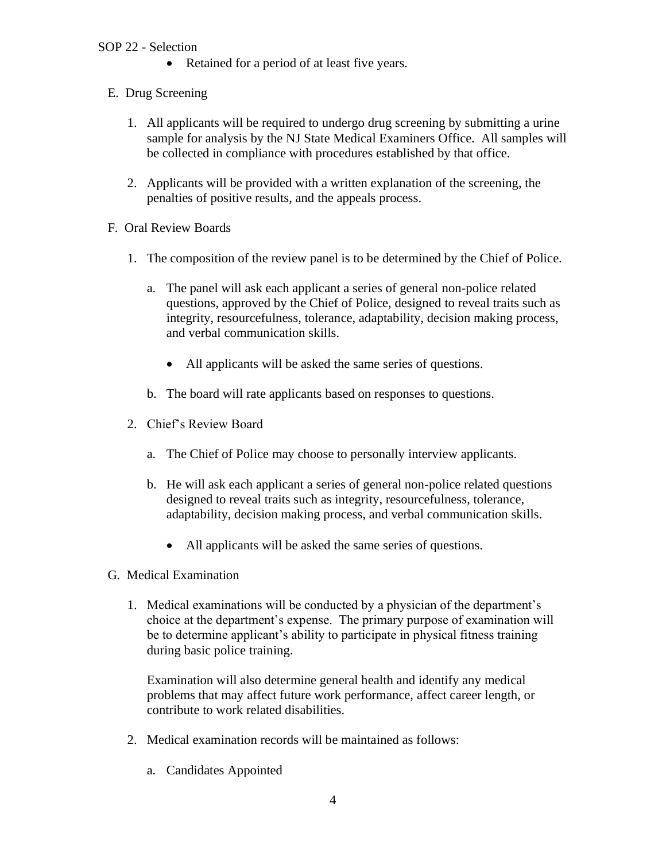- Retained for a period of at least five years.
- E. Drug Screening
	- 1. All applicants will be required to undergo drug screening by submitting a urine sample for analysis by the NJ State Medical Examiners Office. All samples will be collected in compliance with procedures established by that office.
	- 2. Applicants will be provided with a written explanation of the screening, the penalties of positive results, and the appeals process.
- F. Oral Review Boards
	- 1. The composition of the review panel is to be determined by the Chief of Police.
		- a. The panel will ask each applicant a series of general non-police related questions, approved by the Chief of Police, designed to reveal traits such as integrity, resourcefulness, tolerance, adaptability, decision making process, and verbal communication skills.
			- All applicants will be asked the same series of questions.
		- b. The board will rate applicants based on responses to questions.
	- 2. Chief's Review Board
		- a. The Chief of Police may choose to personally interview applicants.
		- b. He will ask each applicant a series of general non-police related questions designed to reveal traits such as integrity, resourcefulness, tolerance, adaptability, decision making process, and verbal communication skills.
			- All applicants will be asked the same series of questions.
- G. Medical Examination
	- 1. Medical examinations will be conducted by a physician of the department's choice at the department's expense. The primary purpose of examination will be to determine applicant's ability to participate in physical fitness training during basic police training.

Examination will also determine general health and identify any medical problems that may affect future work performance, affect career length, or contribute to work related disabilities.

- 2. Medical examination records will be maintained as follows:
	- a. Candidates Appointed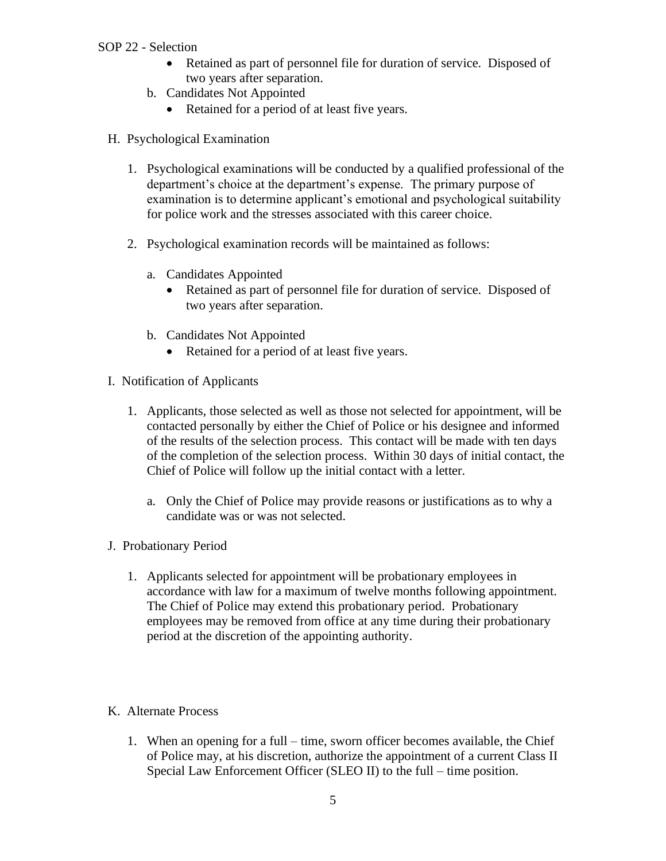- Retained as part of personnel file for duration of service. Disposed of two years after separation.
- b. Candidates Not Appointed
	- Retained for a period of at least five years.
- H. Psychological Examination
	- 1. Psychological examinations will be conducted by a qualified professional of the department's choice at the department's expense. The primary purpose of examination is to determine applicant's emotional and psychological suitability for police work and the stresses associated with this career choice.
	- 2. Psychological examination records will be maintained as follows:
		- a. Candidates Appointed
			- Retained as part of personnel file for duration of service. Disposed of two years after separation.
		- b. Candidates Not Appointed
			- Retained for a period of at least five years.
- I. Notification of Applicants
	- 1. Applicants, those selected as well as those not selected for appointment, will be contacted personally by either the Chief of Police or his designee and informed of the results of the selection process. This contact will be made with ten days of the completion of the selection process. Within 30 days of initial contact, the Chief of Police will follow up the initial contact with a letter.
		- a. Only the Chief of Police may provide reasons or justifications as to why a candidate was or was not selected.
- J. Probationary Period
	- 1. Applicants selected for appointment will be probationary employees in accordance with law for a maximum of twelve months following appointment. The Chief of Police may extend this probationary period. Probationary employees may be removed from office at any time during their probationary period at the discretion of the appointing authority.
- K. Alternate Process
	- 1. When an opening for a full time, sworn officer becomes available, the Chief of Police may, at his discretion, authorize the appointment of a current Class II Special Law Enforcement Officer (SLEO II) to the full – time position.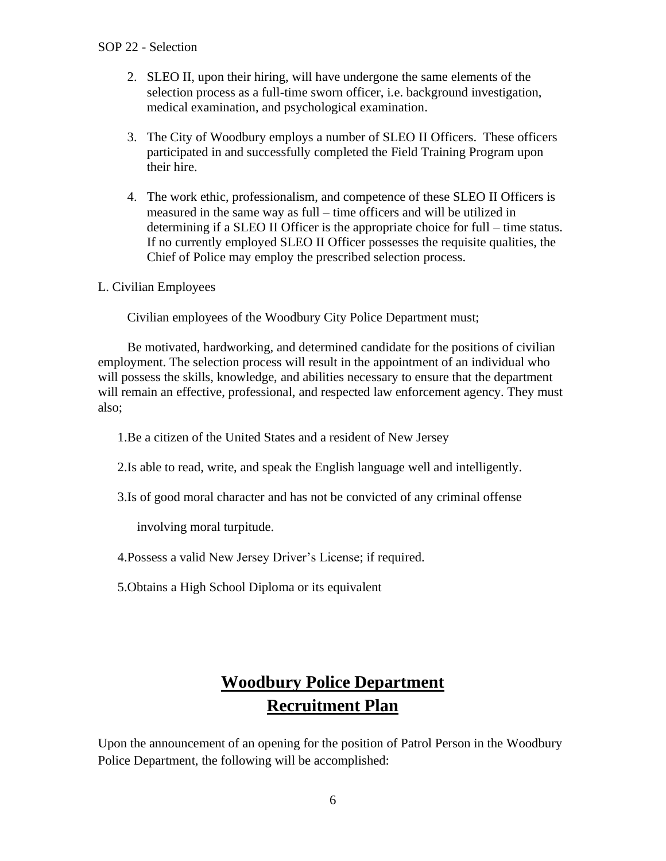- 2. SLEO II, upon their hiring, will have undergone the same elements of the selection process as a full-time sworn officer, i.e. background investigation, medical examination, and psychological examination.
- 3. The City of Woodbury employs a number of SLEO II Officers. These officers participated in and successfully completed the Field Training Program upon their hire.
- 4. The work ethic, professionalism, and competence of these SLEO II Officers is measured in the same way as full – time officers and will be utilized in determining if a SLEO II Officer is the appropriate choice for full – time status. If no currently employed SLEO II Officer possesses the requisite qualities, the Chief of Police may employ the prescribed selection process.

L. Civilian Employees

Civilian employees of the Woodbury City Police Department must;

Be motivated, hardworking, and determined candidate for the positions of civilian employment. The selection process will result in the appointment of an individual who will possess the skills, knowledge, and abilities necessary to ensure that the department will remain an effective, professional, and respected law enforcement agency. They must also;

1.Be a citizen of the United States and a resident of New Jersey

- 2.Is able to read, write, and speak the English language well and intelligently.
- 3.Is of good moral character and has not be convicted of any criminal offense

involving moral turpitude.

4.Possess a valid New Jersey Driver's License; if required.

5.Obtains a High School Diploma or its equivalent

# **Woodbury Police Department Recruitment Plan**

Upon the announcement of an opening for the position of Patrol Person in the Woodbury Police Department, the following will be accomplished: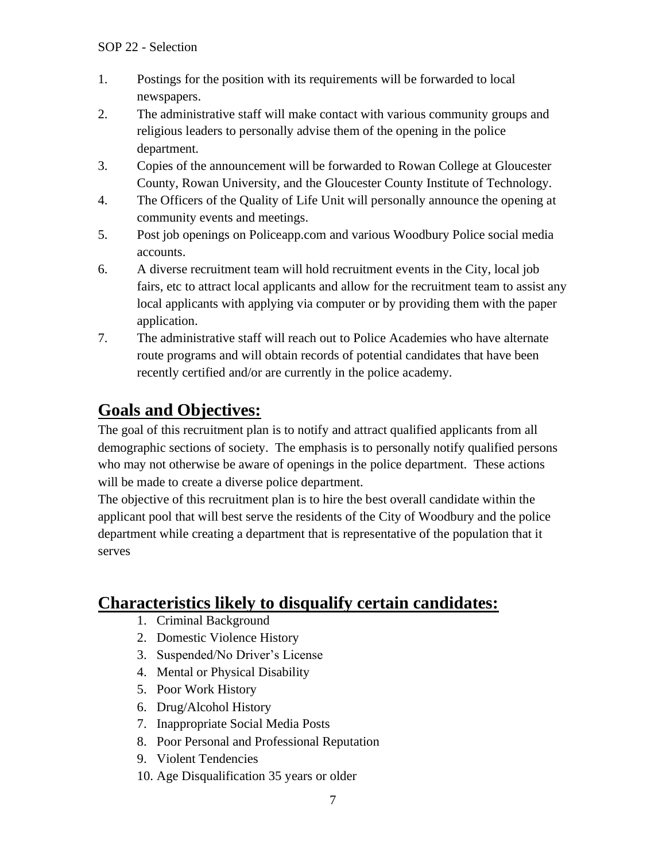- 1. Postings for the position with its requirements will be forwarded to local newspapers.
- 2. The administrative staff will make contact with various community groups and religious leaders to personally advise them of the opening in the police department.
- 3. Copies of the announcement will be forwarded to Rowan College at Gloucester County, Rowan University, and the Gloucester County Institute of Technology.
- 4. The Officers of the Quality of Life Unit will personally announce the opening at community events and meetings.
- 5. Post job openings on Policeapp.com and various Woodbury Police social media accounts.
- 6. A diverse recruitment team will hold recruitment events in the City, local job fairs, etc to attract local applicants and allow for the recruitment team to assist any local applicants with applying via computer or by providing them with the paper application.
- 7. The administrative staff will reach out to Police Academies who have alternate route programs and will obtain records of potential candidates that have been recently certified and/or are currently in the police academy.

# **Goals and Objectives:**

The goal of this recruitment plan is to notify and attract qualified applicants from all demographic sections of society. The emphasis is to personally notify qualified persons who may not otherwise be aware of openings in the police department. These actions will be made to create a diverse police department.

The objective of this recruitment plan is to hire the best overall candidate within the applicant pool that will best serve the residents of the City of Woodbury and the police department while creating a department that is representative of the population that it serves

# **Characteristics likely to disqualify certain candidates:**

- 1. Criminal Background
- 2. Domestic Violence History
- 3. Suspended/No Driver's License
- 4. Mental or Physical Disability
- 5. Poor Work History
- 6. Drug/Alcohol History
- 7. Inappropriate Social Media Posts
- 8. Poor Personal and Professional Reputation
- 9. Violent Tendencies
- 10. Age Disqualification 35 years or older